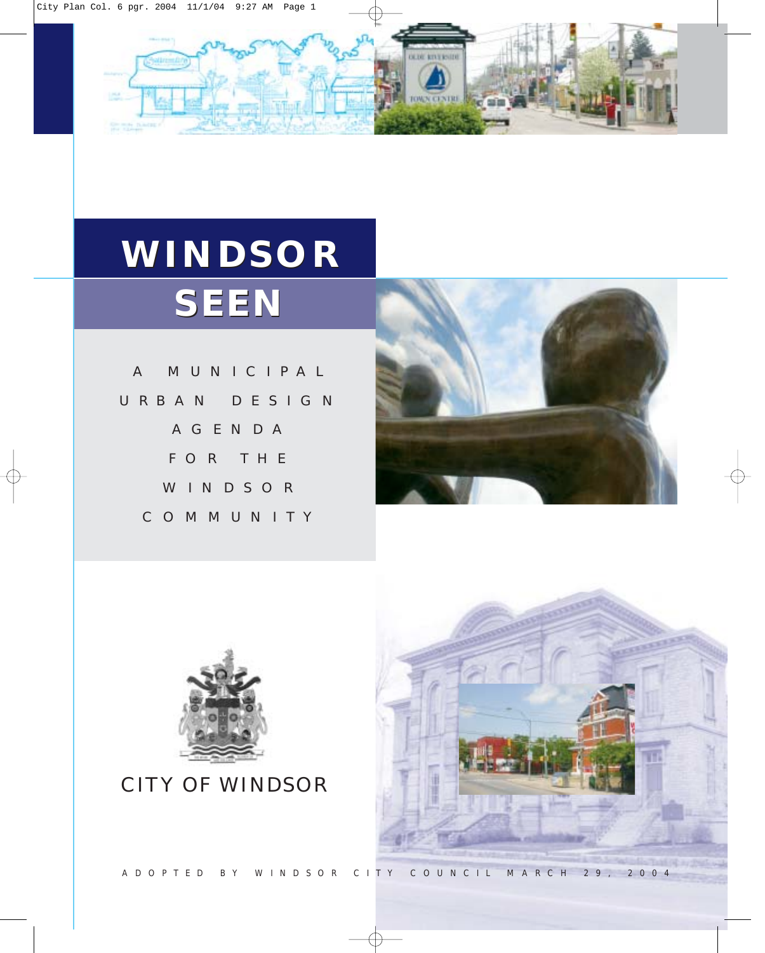

# **WINDSOR WINDSOR SEEN SEEN**

A MUNICIPAL URBAN DESIGN AGENDA FOR THE WINDSOR COMMUNITY





CITY OF WINDSOR

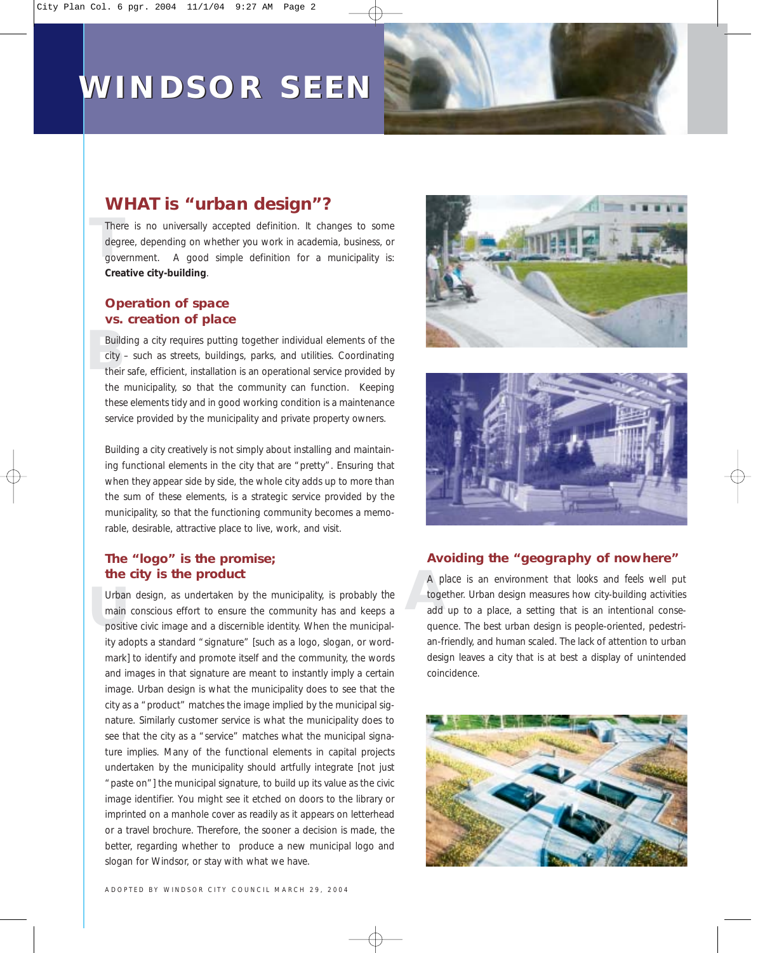## **WINDSOR SEEN WINDSOR SEEN**



### *WHAT is "urban design"?*

There is no universally accepted definition. It changes to some degree, depending on whether you work in academia, business, or government. A good simple definition for a municipality is: degree, depending on whether you work in academia, business, or government. A good simple definition for a municipality is: **Creative city-building**.

### **Operation of space vs. creation of place**

Building a city requires putting together individual elements of the city – such as streets, buildings, parks, and utilities. Coordinating their safe, efficient, installation is an operational service provided by city – such as streets, buildings, parks, and utilities. Coordinating their safe, efficient, installation is an operational service provided by the municipality, so that the community can function. Keeping these elements tidy and in good working condition is a maintenance service provided by the municipality and private property owners.

Building a city creatively is not simply about installing and maintaining functional elements in the city that are "pretty". Ensuring that when they appear side by side, the whole city adds up to more than the sum of these elements, is a strategic service provided by the municipality, so that the functioning community becomes a memorable, desirable, attractive place to live, work, and visit.

### **The "logo" is the promise; the city is the product**

Urban design, as undertaken by the municipality, is probably *the* main conscious effort to ensure the community has and keeps a positive civic image and a discernible identity. When the municipalmain conscious effort to ensure the community has and keeps a positive civic image and a discernible identity. When the municipality adopts a standard "signature" [such as a logo, slogan, or wordmark] to identify and promote itself and the community, the words and images in that signature are meant to instantly imply a certain image. Urban design is what the municipality does to see that the city as a "product" matches the image implied by the municipal signature. Similarly customer service is what the municipality does to see that the city as a "service" matches what the municipal signature implies. Many of the functional elements in capital projects undertaken by the municipality should artfully integrate [not just "paste on"] the municipal signature, to build up its value as the civic image identifier. You might see it etched on doors to the library or imprinted on a manhole cover as readily as it appears on letterhead or a travel brochure. Therefore, the sooner a decision is made, the better, regarding whether to produce a new municipal logo and slogan for Windsor, or stay with what we have.





### **Avoiding the "geography of nowhere"**

A pl<br>toge<br>add A *place* is an environment that *looks* and *feels* well put together. Urban design measures how city-building activities add up to a place, a setting that is an intentional consequence. The best urban design is people-oriented, pedestrian-friendly, and human scaled. The lack of attention to urban design leaves a city that is at best a display of unintended coincidence.

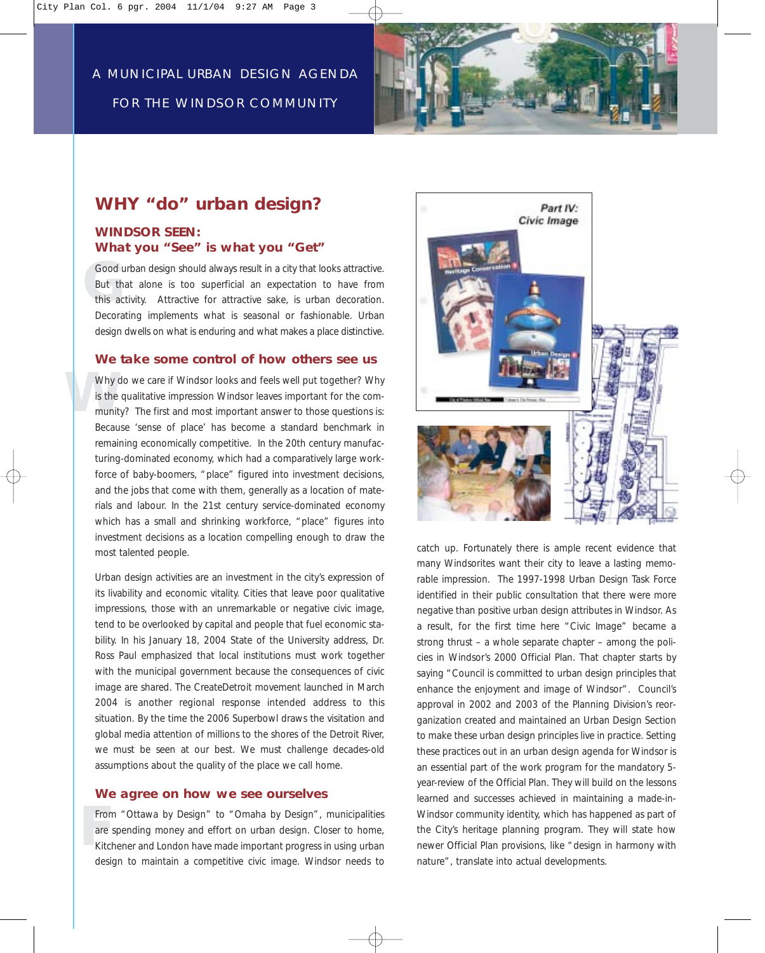

### *WHY "do" urban design?*

### **WINDSOR SEEN: What you "See" is what you "Get"**

Good urban design should always result in a city that looks attractive.<br>But that alone is too superficial an expectation to have from<br>this activity. Attractive for attractive sake, is urban decoration. But that alone is too superficial an expectation to have from this activity. Attractive for attractive sake, is urban decoration. Decorating implements what is seasonal or fashionable. Urban design dwells on what is enduring and what makes a place distinctive.

#### **We take some control of how others see us**

Why do we care if Windsor looks and feels well put together? Why is the qualitative impression Windsor leaves important for the community? The first and most important answer to those questions is: is the qualitative impression Windsor leaves important for the community? The first and most important answer to those questions is: Because 'sense of place' has become a standard benchmark in remaining economically competitive. In the 20th century manufacturing-dominated economy, which had a comparatively large workforce of baby-boomers, "place" figured into investment decisions, and the jobs that come with them, generally as a location of materials and labour. In the 21st century service-dominated economy which has a small and shrinking workforce, "place" figures into investment decisions as a location compelling enough to draw the most talented people.

Urban design activities are an investment in the city's expression of its livability and economic vitality. Cities that leave poor qualitative impressions, those with an unremarkable or negative civic image, tend to be overlooked by capital and people that fuel economic stability. In his January 18, 2004 State of the University address, Dr. Ross Paul emphasized that local institutions must work together with the municipal government because the consequences of civic image are shared. The CreateDetroit movement launched in March 2004 is another regional response intended address to this situation. By the time the 2006 Superbowl draws the visitation and global media attention of millions to the shores of the Detroit River, we must be seen at our best. We must challenge decades-old assumptions about the quality of the place we call home.

#### **We agree on how we see ourselves**

Fro<br>
are<br>
Kito From "Ottawa by Design" to "Omaha by Design", municipalities are spending money and effort on urban design. Closer to home, Kitchener and London have made important progress in using urban design to maintain a competitive civic image. Windsor needs to



catch up. Fortunately there is ample recent evidence that many Windsorites want their city to leave a lasting memorable impression. The 1997-1998 Urban Design Task Force identified in their public consultation that there were more negative than positive urban design attributes in Windsor. As a result, for the first time here "Civic Image" became a strong thrust – a whole separate chapter – among the policies in Windsor's 2000 Official Plan. That chapter starts by saying "Council is committed to urban design principles that enhance the enjoyment and image of Windsor". Council's approval in 2002 and 2003 of the Planning Division's reorganization created and maintained an Urban Design Section to make these urban design principles live in practice. Setting these practices out in an urban design agenda for Windsor is an essential part of the work program for the mandatory 5 year-review of the Official Plan. They will build on the lessons learned and successes achieved in maintaining a made-in-Windsor community identity, which has happened as part of the City's heritage planning program. They will state how newer Official Plan provisions, like "design in harmony with nature", translate into actual developments.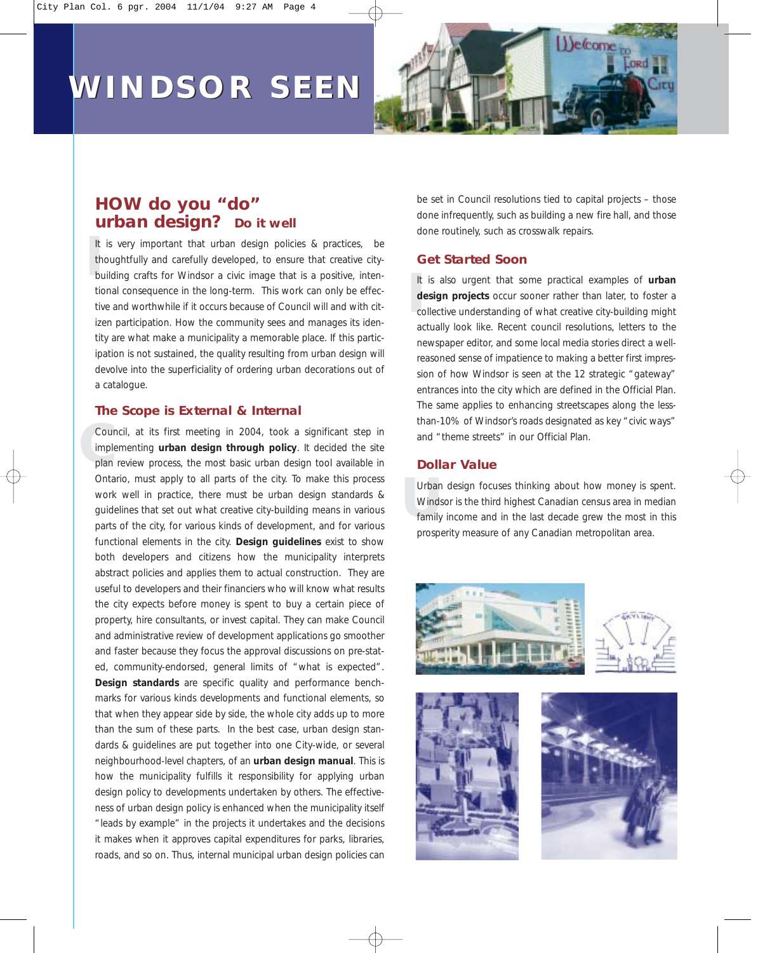# **WINDSOR SEEN WINDSOR SEEN**



### *HOW do you "do"*  **urban design?** Do it well

It is very important that urban design policies & practices, be<br>thoughtfully and carefully developed, to ensure that creative city-<br>building crafts for Windsor a civic image that is a positive, intenthoughtfully and carefully developed, to ensure that creative citybuilding crafts for Windsor a civic image that is a positive, intentional consequence in the long-term. This work can only be effective and worthwhile if it occurs because of Council will and with citizen participation. How the community sees and manages its identity are what make a municipality a memorable place. If this participation is not sustained, the quality resulting from urban design will devolve into the superficiality of ordering urban decorations out of a catalogue.

#### **The Scope is External & Internal**

**Cou**<br> **impl**<br>
plan Council, at its first meeting in 2004, took a significant step in implementing **urban design through policy**. It decided the site plan review process, the most basic urban design tool available in Ontario, must apply to all parts of the city. To make this process work well in practice, there must be urban design standards & guidelines that set out what creative city-building means in various parts of the city, for various kinds of development, and for various functional elements in the city. **Design guidelines** exist to show both developers and citizens how the municipality interprets abstract policies and applies them to actual construction. They are useful to developers and their financiers who will know what results the city expects before money is spent to buy a certain piece of property, hire consultants, or invest capital. They can make Council and administrative review of development applications go smoother and faster because they focus the approval discussions on pre-stated, community-endorsed, general limits of "what is expected". **Design standards** are specific quality and performance benchmarks for various kinds developments and functional elements, so that when they appear side by side, the whole city adds up to more than the sum of these parts. In the best case, urban design standards & guidelines are put together into one City-wide, or several neighbourhood-level chapters, of an **urban design manual**. This is how the municipality fulfills it responsibility for applying urban design policy to developments undertaken by others. The effectiveness of urban design policy is enhanced when the municipality itself "leads by example" in the projects it undertakes and the decisions it makes when it approves capital expenditures for parks, libraries, roads, and so on. Thus, internal municipal urban design policies can be set in Council resolutions tied to capital projects – those done infrequently, such as building a new fire hall, and those done routinely, such as crosswalk repairs.

### **Get Started Soon**

It is also urgent that some practical examples of **urban**<br> **design projects** occur sooner rather than later, to foster a<br>
collective understanding of what creative city-building might It is also urgent that some practical examples of **urban design projects** occur sooner rather than later, to foster a actually look like. Recent council resolutions, letters to the newspaper editor, and some local media stories direct a wellreasoned sense of impatience to making a better first impression of how Windsor is seen at the 12 strategic "gateway" entrances into the city which are defined in the Official Plan. The same applies to enhancing streetscapes along the lessthan-10% of Windsor's roads designated as key "civic ways" and "theme streets" in our Official Plan.

### **Dollar Value**

Urban design focuses thinking about how money is spent.<br>Windsor is the third highest Canadian census area in median<br>family income and in the last decade grew the most in this Urban design focuses thinking about how money is spent. Windsor is the third highest Canadian census area in median prosperity measure of any Canadian metropolitan area.





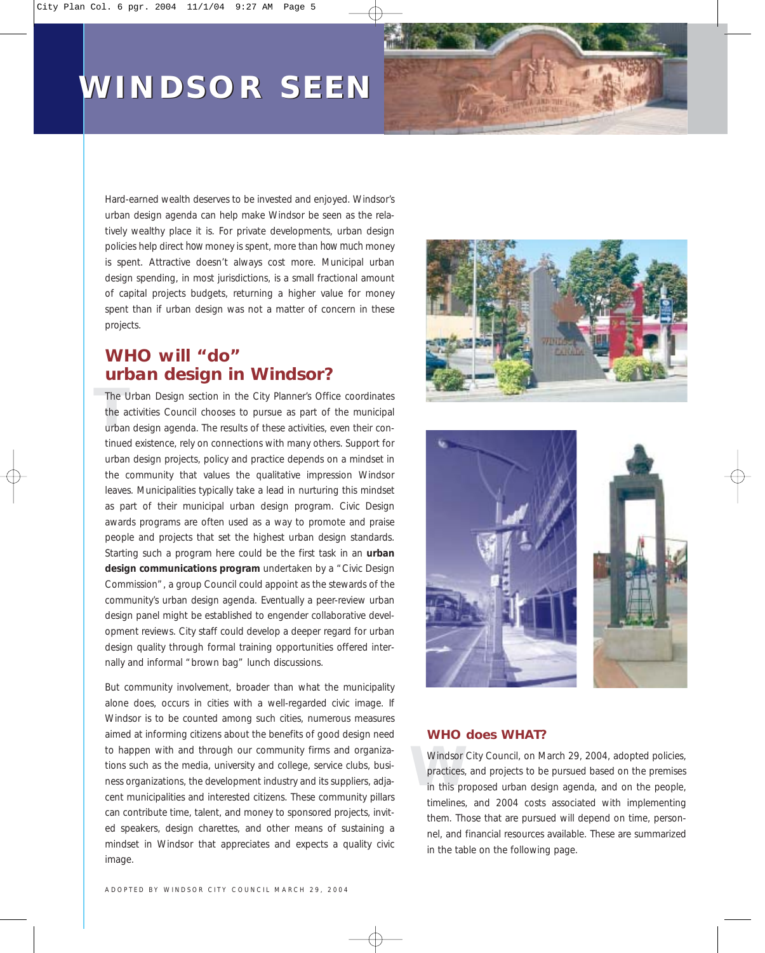# **WINDSOR SEEN WINDSOR SEEN**



Hard-earned wealth deserves to be invested and enjoyed. Windsor's urban design agenda can help make Windsor be seen as the relatively wealthy place it is. For private developments, urban design policies help direct *how* money is spent, more than *how much* money is spent. Attractive doesn't always cost more. Municipal urban design spending, in most jurisdictions, is a small fractional amount of capital projects budgets, returning a higher value for money spent than if urban design was not a matter of concern in these projects.

### *WHO will "do" urban design in Windsor?*

The Urban Design section in the City Planner's Office coordinates<br>the activities Council chooses to pursue as part of the municipal<br>urban design agenda. The results of these activities, even their conthe activities Council chooses to pursue as part of the municipal urban design agenda. The results of these activities, even their continued existence, rely on connections with many others. Support for urban design projects, policy and practice depends on a mindset in the community that values the qualitative impression Windsor leaves. Municipalities typically take a lead in nurturing this mindset as part of their municipal urban design program. Civic Design awards programs are often used as a way to promote and praise people and projects that set the highest urban design standards. Starting such a program here could be the first task in an **urban design communications program** undertaken by a "Civic Design Commission", a group Council could appoint as the stewards of the community's urban design agenda. Eventually a peer-review urban design panel might be established to engender collaborative development reviews. City staff could develop a deeper regard for urban design quality through formal training opportunities offered internally and informal "brown bag" lunch discussions.

But community involvement, broader than what the municipality alone does, occurs in cities with a well-regarded civic image. If Windsor is to be counted among such cities, numerous measures aimed at informing citizens about the benefits of good design need to happen with and through our community firms and organizations such as the media, university and college, service clubs, business organizations, the development industry and its suppliers, adjacent municipalities and interested citizens. These community pillars can contribute time, talent, and money to sponsored projects, invited speakers, design charettes, and other means of sustaining a mindset in Windsor that appreciates and expects a quality civic image.





### **WHO does WHAT?**

Windsor City Council, on March 29, 2004, adopted policies, practices, and projects to be pursued based on the premises in this proposed urban design agenda, and on the people, Windsor City Council, on March 29, 2004, adopted policies, practices, and projects to be pursued based on the premises timelines, and 2004 costs associated with implementing them. Those that are pursued will depend on time, personnel, and financial resources available. These are summarized in the table on the following page.